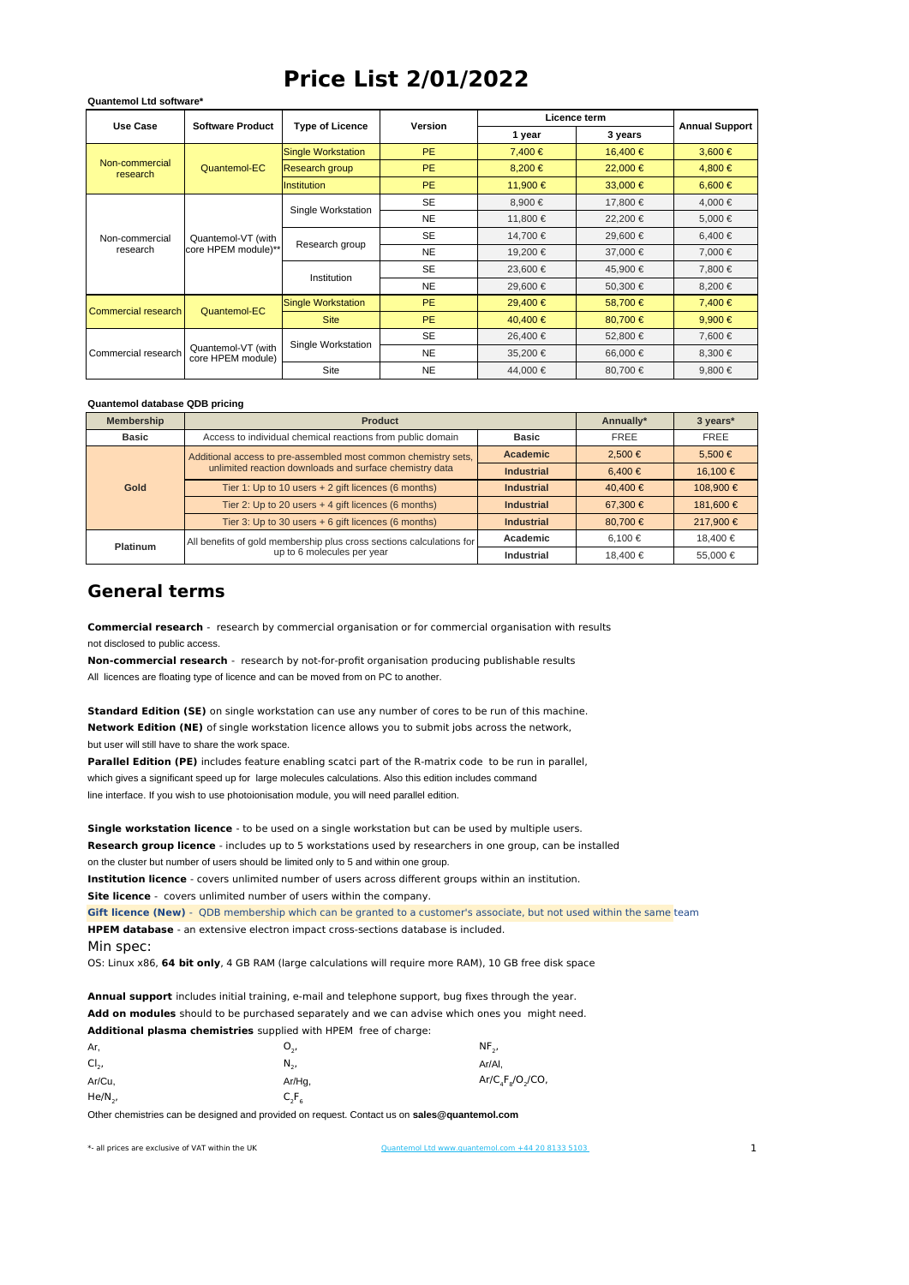## **Price List 2/01/2022**

| <b>Use Case</b>            | <b>Software Product</b>                   | <b>Type of Licence</b>    | <b>Version</b> | Licence term |         |                       |
|----------------------------|-------------------------------------------|---------------------------|----------------|--------------|---------|-----------------------|
|                            |                                           |                           |                | 1 year       | 3 years | <b>Annual Support</b> |
| Non-commercial<br>research | Quantemol-EC                              | <b>Single Workstation</b> | <b>PE</b>      | 7,400€       | 16,400€ | $3,600 \in$           |
|                            |                                           | Research group            | PE.            | 8,200€       | 22,000€ | 4,800€                |
|                            |                                           | <b>Institution</b>        | PE.            | 11,900€      | 33,000€ | $6,600 \in$           |
| Non-commercial<br>research | Quantemol-VT (with<br>core HPEM module)** | Single Workstation        | <b>SE</b>      | 8,900€       | 17,800€ | 4,000€                |
|                            |                                           |                           | <b>NE</b>      | 11,800€      | 22,200€ | 5,000€                |
|                            |                                           | Research group            | <b>SE</b>      | 14,700€      | 29,600€ | 6,400€                |
|                            |                                           |                           | <b>NE</b>      | 19,200€      | 37,000€ | 7,000€                |
|                            |                                           | Institution               | SE             | 23,600€      | 45,900€ | 7,800€                |
|                            |                                           |                           | NE.            | 29,600€      | 50,300€ | 8,200€                |
| Commercial research        | Quantemol-EC                              | Single Workstation        | PE.            | 29,400€      | 58,700€ | 7,400€                |
|                            |                                           | <b>Site</b>               | PE.            | 40,400€      | 80,700€ | 9,900€                |
| Commercial research        | Quantemol-VT (with<br>core HPEM module)   | Single Workstation        | SE             | 26.400€      | 52,800€ | 7.600€                |
|                            |                                           |                           | <b>NE</b>      | 35,200€      | 66,000€ | 8,300€                |
|                            |                                           | Site                      | NE.            | 44,000€      | 80,700€ | 9,800€                |

## **Quantemol database QDB pricing**

**Quantemol Ltd software\***

| Membership   | <b>Product</b>                                                                                     | Annually*         | 3 years*    |             |
|--------------|----------------------------------------------------------------------------------------------------|-------------------|-------------|-------------|
| <b>Basic</b> | Access to individual chemical reactions from public domain                                         | <b>Basic</b>      | FREE        | <b>FREE</b> |
| Gold         | Additional access to pre-assembled most common chemistry sets,                                     | <b>Academic</b>   | 2.500€      | 5.500€      |
|              | unlimited reaction downloads and surface chemistry data                                            | <b>Industrial</b> | 6.400€      | 16.100€     |
|              | Tier 1: Up to 10 users + 2 gift licences (6 months)                                                | <b>Industrial</b> | 40.400€     | 108.900€    |
|              | Tier 2: Up to 20 users + 4 gift licences (6 months)                                                | <b>Industrial</b> | 67.300€     | 181.600€    |
|              | Tier 3: Up to 30 users + 6 gift licences (6 months)                                                | <b>Industrial</b> | 80.700€     | 217.900€    |
| Platinum     | All benefits of gold membership plus cross sections calculations for<br>up to 6 molecules per year | Academic          | $6.100 \in$ | 18.400€     |
|              |                                                                                                    | Industrial        | 18.400€     | 55.000€     |

## **General terms**

not disclosed to public access. **Commercial research** - research by commercial organisation or for commercial organisation with results

All licences are floating type of licence and can be moved from on PC to another. **Non-commercial research** - research by not-for-profit organisation producing publishable results

but user will still have to share the work space. **Standard Edition (SE)** on single workstation can use any number of cores to be run of this machine. **Network Edition (NE)** of single workstation licence allows you to submit jobs across the network,

which gives a significant speed up for large molecules calculations. Also this edition includes command line interface. If you wish to use photoionisation module, you will need parallel edition. **Parallel Edition (PE)** includes feature enabling scatci part of the R-matrix code to be run in parallel,

on the cluster but number of users should be limited only to 5 and within one group. **Single workstation licence** - to be used on a single workstation but can be used by multiple users. **Research group licence** - includes up to 5 workstations used by researchers in one group, can be installed **Institution licence** - covers unlimited number of users across different groups within an institution.

**Site licence** - covers unlimited number of users within the company.

Min spec: **Gift licence (New)** - QDB membership which can be granted to a customer's associate, but not used within the same team **HPEM database** - an extensive electron impact cross-sections database is included.

OS: Linux x86, **64 bit only**, 4 GB RAM (large calculations will require more RAM), 10 GB free disk space

**Annual support** includes initial training, e-mail and telephone support, bug fixes through the year. **Add on modules** should to be purchased separately and we can advise which ones you might need. **Additional plasma chemistries** supplied with HPEM free of charge:

| Ar.        | υ.,      | $NF_{2}$             |
|------------|----------|----------------------|
| $Cl2$ ,    | $N_{2}$  | Ar/Al,               |
| Ar/Cu,     | Ar/Hg,   | $Ar/C_4F_8/O_2/CO$ , |
| $He/N_{2}$ | $C_2F_6$ |                      |

Other chemistries can be designed and provided on request. Contact us on **sales@quantemol.com**